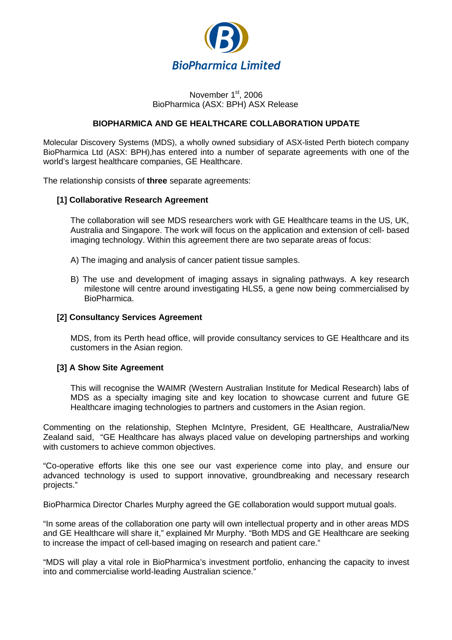

#### November 1<sup>st</sup>, 2006 BioPharmica (ASX: BPH) ASX Release

## **BIOPHARMICA AND GE HEALTHCARE COLLABORATION UPDATE**

Molecular Discovery Systems (MDS), a wholly owned subsidiary of ASX-listed Perth biotech company BioPharmica Ltd (ASX: BPH),has entered into a number of separate agreements with one of the world's largest healthcare companies, GE Healthcare.

The relationship consists of **three** separate agreements:

#### **[1] Collaborative Research Agreement**

The collaboration will see MDS researchers work with GE Healthcare teams in the US, UK, Australia and Singapore. The work will focus on the application and extension of cell- based imaging technology. Within this agreement there are two separate areas of focus:

- A) The imaging and analysis of cancer patient tissue samples.
- B) The use and development of imaging assays in signaling pathways. A key research milestone will centre around investigating HLS5, a gene now being commercialised by BioPharmica.

#### **[2] Consultancy Services Agreement**

MDS, from its Perth head office, will provide consultancy services to GE Healthcare and its customers in the Asian region.

#### **[3] A Show Site Agreement**

This will recognise the WAIMR (Western Australian Institute for Medical Research) labs of MDS as a specialty imaging site and key location to showcase current and future GE Healthcare imaging technologies to partners and customers in the Asian region.

Commenting on the relationship, Stephen McIntyre, President, GE Healthcare, Australia/New Zealand said, "GE Healthcare has always placed value on developing partnerships and working with customers to achieve common objectives.

"Co-operative efforts like this one see our vast experience come into play, and ensure our advanced technology is used to support innovative, groundbreaking and necessary research projects."

BioPharmica Director Charles Murphy agreed the GE collaboration would support mutual goals.

"In some areas of the collaboration one party will own intellectual property and in other areas MDS and GE Healthcare will share it," explained Mr Murphy. "Both MDS and GE Healthcare are seeking to increase the impact of cell-based imaging on research and patient care."

"MDS will play a vital role in BioPharmica's investment portfolio, enhancing the capacity to invest into and commercialise world-leading Australian science."